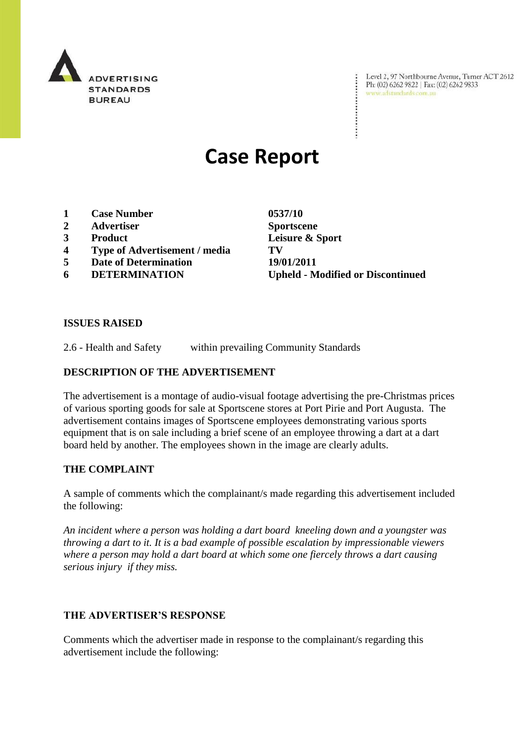

Level 2, 97 Northbourne Avenue, Turner ACT 2612<br>Ph: (02) 6262 9822 | Fax: (02) 6262 9833<br>www.adstandards.com.au

# **Case Report**

- **1 Case Number 0537/10**
- **2 Advertiser Sportscene**
- 
- **4 Type of Advertisement / media TV**
- **5 Date of Determination 19/01/2011**
- 

**3 Product Leisure & Sport 6 DETERMINATION Upheld - Modified or Discontinued**

÷

# **ISSUES RAISED**

2.6 - Health and Safety within prevailing Community Standards

# **DESCRIPTION OF THE ADVERTISEMENT**

The advertisement is a montage of audio-visual footage advertising the pre-Christmas prices of various sporting goods for sale at Sportscene stores at Port Pirie and Port Augusta. The advertisement contains images of Sportscene employees demonstrating various sports equipment that is on sale including a brief scene of an employee throwing a dart at a dart board held by another. The employees shown in the image are clearly adults.

#### **THE COMPLAINT**

A sample of comments which the complainant/s made regarding this advertisement included the following:

*An incident where a person was holding a dart board kneeling down and a youngster was throwing a dart to it. It is a bad example of possible escalation by impressionable viewers where a person may hold a dart board at which some one fiercely throws a dart causing serious injury if they miss.*

# **THE ADVERTISER'S RESPONSE**

Comments which the advertiser made in response to the complainant/s regarding this advertisement include the following: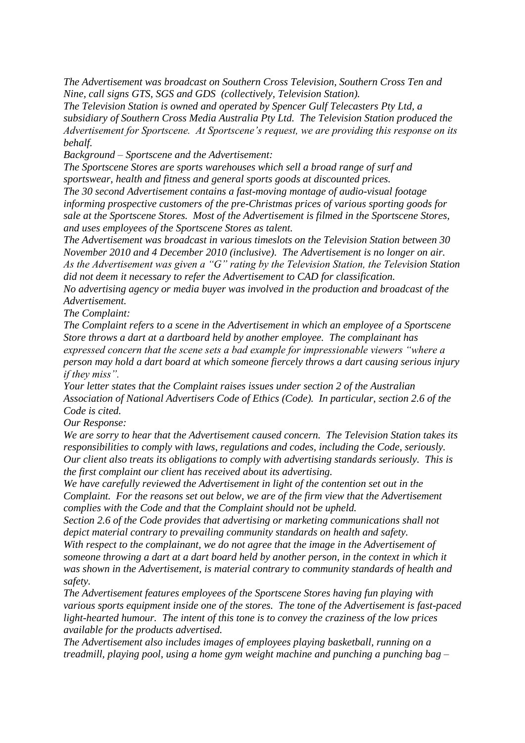*The Advertisement was broadcast on Southern Cross Television, Southern Cross Ten and Nine, call signs GTS, SGS and GDS (collectively, Television Station).* 

*The Television Station is owned and operated by Spencer Gulf Telecasters Pty Ltd, a subsidiary of Southern Cross Media Australia Pty Ltd. The Television Station produced the Advertisement for Sportscene. At Sportscene's request, we are providing this response on its behalf.*

*Background – Sportscene and the Advertisement:*

*The Sportscene Stores are sports warehouses which sell a broad range of surf and sportswear, health and fitness and general sports goods at discounted prices.* 

*The 30 second Advertisement contains a fast-moving montage of audio-visual footage informing prospective customers of the pre-Christmas prices of various sporting goods for sale at the Sportscene Stores. Most of the Advertisement is filmed in the Sportscene Stores, and uses employees of the Sportscene Stores as talent.*

*The Advertisement was broadcast in various timeslots on the Television Station between 30 November 2010 and 4 December 2010 (inclusive). The Advertisement is no longer on air. As the Advertisement was given a "G" rating by the Television Station, the Television Station did not deem it necessary to refer the Advertisement to CAD for classification.*

*No advertising agency or media buyer was involved in the production and broadcast of the Advertisement.*

*The Complaint:*

*The Complaint refers to a scene in the Advertisement in which an employee of a Sportscene Store throws a dart at a dartboard held by another employee. The complainant has expressed concern that the scene sets a bad example for impressionable viewers "where a person may hold a dart board at which someone fiercely throws a dart causing serious injury if they miss".*

*Your letter states that the Complaint raises issues under section 2 of the Australian Association of National Advertisers Code of Ethics (Code). In particular, section 2.6 of the Code is cited.* 

*Our Response:*

*We are sorry to hear that the Advertisement caused concern. The Television Station takes its responsibilities to comply with laws, regulations and codes, including the Code, seriously. Our client also treats its obligations to comply with advertising standards seriously. This is the first complaint our client has received about its advertising.* 

*We have carefully reviewed the Advertisement in light of the contention set out in the Complaint. For the reasons set out below, we are of the firm view that the Advertisement complies with the Code and that the Complaint should not be upheld.*

*Section 2.6 of the Code provides that advertising or marketing communications shall not depict material contrary to prevailing community standards on health and safety.*

*With respect to the complainant, we do not agree that the image in the Advertisement of someone throwing a dart at a dart board held by another person, in the context in which it was shown in the Advertisement, is material contrary to community standards of health and safety.*

*The Advertisement features employees of the Sportscene Stores having fun playing with various sports equipment inside one of the stores. The tone of the Advertisement is fast-paced light-hearted humour. The intent of this tone is to convey the craziness of the low prices available for the products advertised.*

*The Advertisement also includes images of employees playing basketball, running on a treadmill, playing pool, using a home gym weight machine and punching a punching bag –*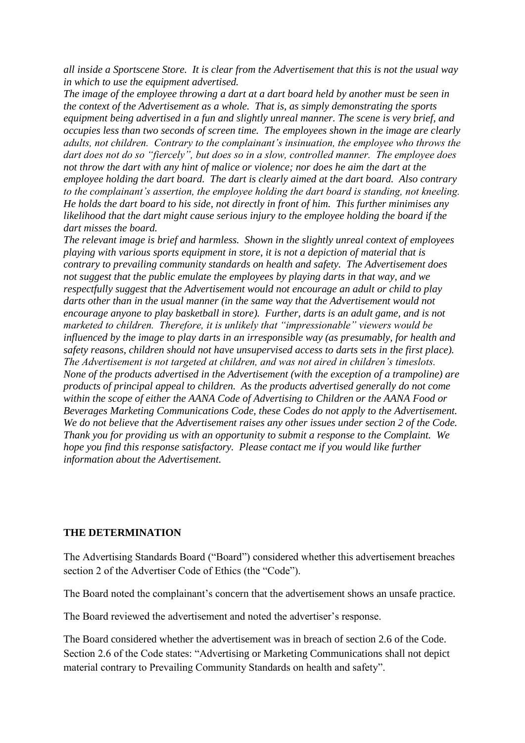*all inside a Sportscene Store. It is clear from the Advertisement that this is not the usual way in which to use the equipment advertised.*

*The image of the employee throwing a dart at a dart board held by another must be seen in the context of the Advertisement as a whole. That is, as simply demonstrating the sports equipment being advertised in a fun and slightly unreal manner. The scene is very brief, and occupies less than two seconds of screen time. The employees shown in the image are clearly adults, not children. Contrary to the complainant's insinuation, the employee who throws the dart does not do so "fiercely", but does so in a slow, controlled manner. The employee does not throw the dart with any hint of malice or violence; nor does he aim the dart at the employee holding the dart board. The dart is clearly aimed at the dart board. Also contrary to the complainant's assertion, the employee holding the dart board is standing, not kneeling. He holds the dart board to his side, not directly in front of him. This further minimises any likelihood that the dart might cause serious injury to the employee holding the board if the dart misses the board.*

*The relevant image is brief and harmless. Shown in the slightly unreal context of employees playing with various sports equipment in store, it is not a depiction of material that is contrary to prevailing community standards on health and safety. The Advertisement does not suggest that the public emulate the employees by playing darts in that way, and we respectfully suggest that the Advertisement would not encourage an adult or child to play darts other than in the usual manner (in the same way that the Advertisement would not encourage anyone to play basketball in store). Further, darts is an adult game, and is not marketed to children. Therefore, it is unlikely that "impressionable" viewers would be influenced by the image to play darts in an irresponsible way (as presumably, for health and safety reasons, children should not have unsupervised access to darts sets in the first place). The Advertisement is not targeted at children, and was not aired in children's timeslots. None of the products advertised in the Advertisement (with the exception of a trampoline) are products of principal appeal to children. As the products advertised generally do not come within the scope of either the AANA Code of Advertising to Children or the AANA Food or Beverages Marketing Communications Code, these Codes do not apply to the Advertisement. We do not believe that the Advertisement raises any other issues under section 2 of the Code. Thank you for providing us with an opportunity to submit a response to the Complaint. We hope you find this response satisfactory. Please contact me if you would like further information about the Advertisement.* 

#### **THE DETERMINATION**

The Advertising Standards Board ("Board") considered whether this advertisement breaches section 2 of the Advertiser Code of Ethics (the "Code").

The Board noted the complainant's concern that the advertisement shows an unsafe practice.

The Board reviewed the advertisement and noted the advertiser's response.

The Board considered whether the advertisement was in breach of section 2.6 of the Code. Section 2.6 of the Code states: "Advertising or Marketing Communications shall not depict material contrary to Prevailing Community Standards on health and safety".